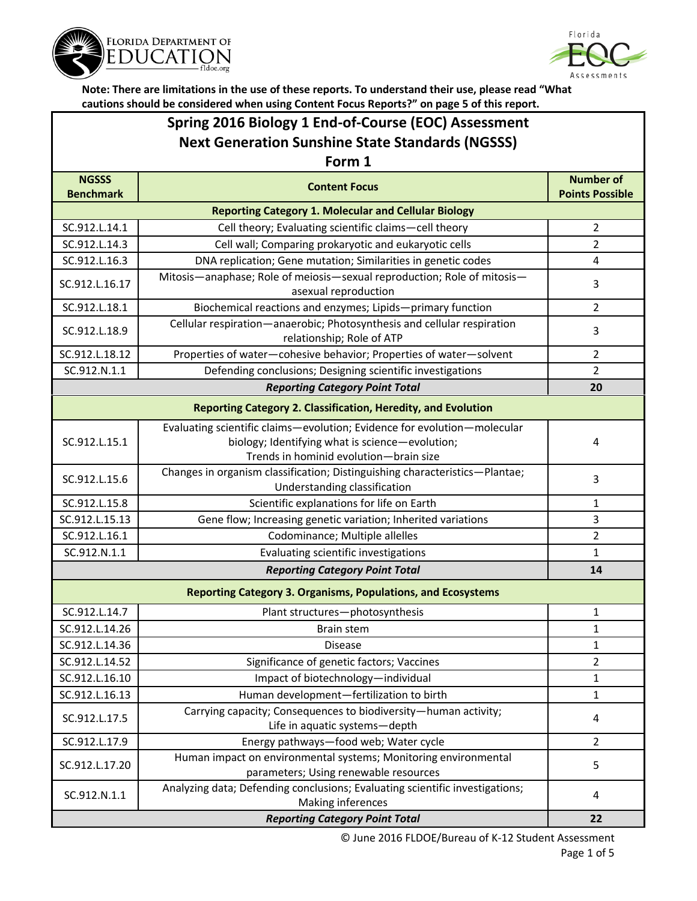



# **Spring 2016 Biology 1 End-of-Course (EOC) Assessment Next Generation Sunshine State Standards (NGSSS)**

### **Form 1**

| <b>NGSSS</b>                                                        | <b>Content Focus</b>                                                                                                                                                  | <b>Number of</b>       |  |  |
|---------------------------------------------------------------------|-----------------------------------------------------------------------------------------------------------------------------------------------------------------------|------------------------|--|--|
| <b>Benchmark</b>                                                    |                                                                                                                                                                       | <b>Points Possible</b> |  |  |
| <b>Reporting Category 1. Molecular and Cellular Biology</b>         |                                                                                                                                                                       |                        |  |  |
| SC.912.L.14.1                                                       | Cell theory; Evaluating scientific claims-cell theory                                                                                                                 | $\overline{2}$         |  |  |
| SC.912.L.14.3                                                       | Cell wall; Comparing prokaryotic and eukaryotic cells                                                                                                                 | $\overline{2}$         |  |  |
| SC.912.L.16.3                                                       | DNA replication; Gene mutation; Similarities in genetic codes                                                                                                         | 4                      |  |  |
| SC.912.L.16.17                                                      | Mitosis-anaphase; Role of meiosis-sexual reproduction; Role of mitosis-<br>asexual reproduction                                                                       | 3                      |  |  |
| SC.912.L.18.1                                                       | Biochemical reactions and enzymes; Lipids-primary function                                                                                                            | $\overline{2}$         |  |  |
| SC.912.L.18.9                                                       | Cellular respiration-anaerobic; Photosynthesis and cellular respiration<br>relationship; Role of ATP                                                                  | 3                      |  |  |
| SC.912.L.18.12                                                      | Properties of water-cohesive behavior; Properties of water-solvent                                                                                                    | $\overline{2}$         |  |  |
| SC.912.N.1.1                                                        | Defending conclusions; Designing scientific investigations                                                                                                            | $\overline{2}$         |  |  |
|                                                                     | <b>Reporting Category Point Total</b>                                                                                                                                 | 20                     |  |  |
|                                                                     | <b>Reporting Category 2. Classification, Heredity, and Evolution</b>                                                                                                  |                        |  |  |
| SC.912.L.15.1                                                       | Evaluating scientific claims-evolution; Evidence for evolution-molecular<br>biology; Identifying what is science-evolution;<br>Trends in hominid evolution-brain size | 4                      |  |  |
| SC.912.L.15.6                                                       | Changes in organism classification; Distinguishing characteristics-Plantae;<br>Understanding classification                                                           | 3                      |  |  |
| SC.912.L.15.8                                                       | Scientific explanations for life on Earth                                                                                                                             | 1                      |  |  |
| SC.912.L.15.13                                                      | Gene flow; Increasing genetic variation; Inherited variations                                                                                                         | 3                      |  |  |
| SC.912.L.16.1                                                       | Codominance; Multiple allelles                                                                                                                                        | $\overline{2}$         |  |  |
| SC.912.N.1.1                                                        | Evaluating scientific investigations                                                                                                                                  | $\mathbf{1}$           |  |  |
|                                                                     | 14                                                                                                                                                                    |                        |  |  |
| <b>Reporting Category 3. Organisms, Populations, and Ecosystems</b> |                                                                                                                                                                       |                        |  |  |
| SC.912.L.14.7                                                       | Plant structures-photosynthesis                                                                                                                                       | 1                      |  |  |
| SC.912.L.14.26                                                      | <b>Brain stem</b>                                                                                                                                                     | $\mathbf{1}$           |  |  |
| SC.912.L.14.36                                                      | <b>Disease</b>                                                                                                                                                        | $\mathbf{1}$           |  |  |
| SC.912.L.14.52                                                      | Significance of genetic factors; Vaccines                                                                                                                             | 2                      |  |  |
| SC.912.L.16.10                                                      | Impact of biotechnology-individual                                                                                                                                    | $\mathbf 1$            |  |  |
| SC.912.L.16.13                                                      | Human development-fertilization to birth                                                                                                                              | 1                      |  |  |
| SC.912.L.17.5                                                       | Carrying capacity; Consequences to biodiversity-human activity;<br>Life in aquatic systems-depth                                                                      | 4                      |  |  |
| SC.912.L.17.9                                                       | Energy pathways-food web; Water cycle                                                                                                                                 | $\overline{2}$         |  |  |
| SC.912.L.17.20                                                      | Human impact on environmental systems; Monitoring environmental<br>parameters; Using renewable resources                                                              | 5                      |  |  |
| SC.912.N.1.1                                                        | Analyzing data; Defending conclusions; Evaluating scientific investigations;<br>Making inferences                                                                     | 4                      |  |  |
|                                                                     | 22                                                                                                                                                                    |                        |  |  |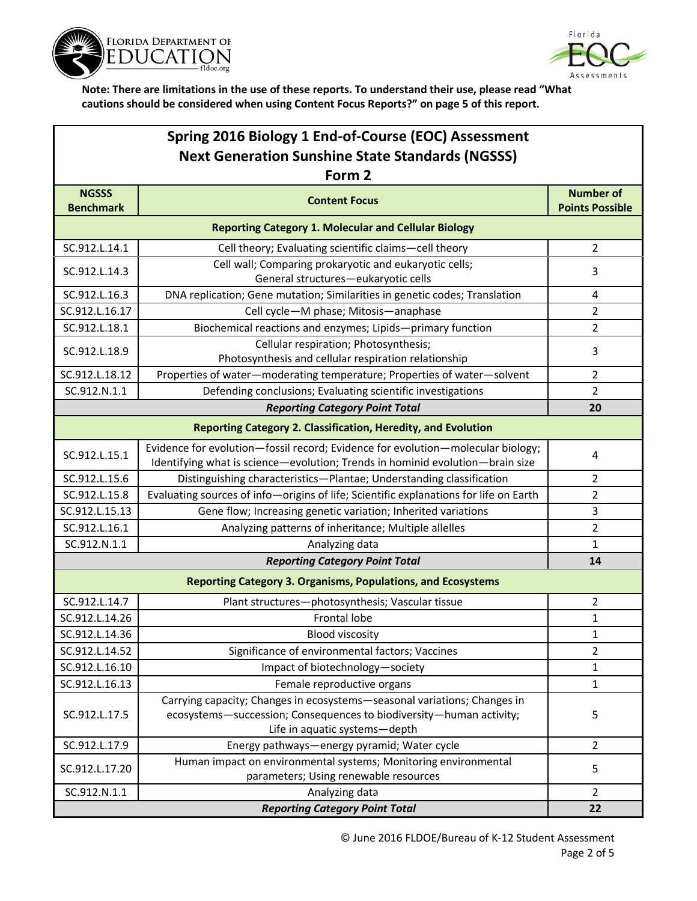



| Spring 2016 Biology 1 End-of-Course (EOC) Assessment    |                                                                                                                                                                                  |                                            |  |  |  |
|---------------------------------------------------------|----------------------------------------------------------------------------------------------------------------------------------------------------------------------------------|--------------------------------------------|--|--|--|
| <b>Next Generation Sunshine State Standards (NGSSS)</b> |                                                                                                                                                                                  |                                            |  |  |  |
| Form 2                                                  |                                                                                                                                                                                  |                                            |  |  |  |
| <b>NGSSS</b><br><b>Benchmark</b>                        | <b>Content Focus</b>                                                                                                                                                             | <b>Number of</b><br><b>Points Possible</b> |  |  |  |
|                                                         | <b>Reporting Category 1. Molecular and Cellular Biology</b>                                                                                                                      |                                            |  |  |  |
| SC.912.L.14.1                                           | Cell theory; Evaluating scientific claims-cell theory                                                                                                                            | 2                                          |  |  |  |
| SC.912.L.14.3                                           | Cell wall; Comparing prokaryotic and eukaryotic cells;<br>General structures-eukaryotic cells                                                                                    | 3                                          |  |  |  |
| SC.912.L.16.3                                           | DNA replication; Gene mutation; Similarities in genetic codes; Translation                                                                                                       | 4                                          |  |  |  |
| SC.912.L.16.17                                          | Cell cycle-M phase; Mitosis-anaphase                                                                                                                                             | 2                                          |  |  |  |
| SC.912.L.18.1                                           | Biochemical reactions and enzymes; Lipids-primary function                                                                                                                       | 2                                          |  |  |  |
| SC.912.L.18.9                                           | Cellular respiration; Photosynthesis;<br>Photosynthesis and cellular respiration relationship                                                                                    | 3                                          |  |  |  |
| SC.912.L.18.12                                          | Properties of water-moderating temperature; Properties of water-solvent                                                                                                          | $\overline{2}$                             |  |  |  |
| SC.912.N.1.1                                            | Defending conclusions; Evaluating scientific investigations                                                                                                                      | $\overline{2}$                             |  |  |  |
|                                                         | <b>Reporting Category Point Total</b>                                                                                                                                            | 20                                         |  |  |  |
|                                                         | <b>Reporting Category 2. Classification, Heredity, and Evolution</b>                                                                                                             |                                            |  |  |  |
| SC.912.L.15.1                                           | Evidence for evolution-fossil record; Evidence for evolution-molecular biology;<br>Identifying what is science-evolution; Trends in hominid evolution-brain size                 | 4                                          |  |  |  |
| SC.912.L.15.6                                           | Distinguishing characteristics-Plantae; Understanding classification                                                                                                             | $\overline{2}$                             |  |  |  |
| SC.912.L.15.8                                           | Evaluating sources of info-origins of life; Scientific explanations for life on Earth                                                                                            | $\overline{2}$                             |  |  |  |
| SC.912.L.15.13                                          | Gene flow; Increasing genetic variation; Inherited variations                                                                                                                    | 3                                          |  |  |  |
| SC.912.L.16.1                                           | Analyzing patterns of inheritance; Multiple allelles                                                                                                                             | 2                                          |  |  |  |
| SC.912.N.1.1                                            | Analyzing data                                                                                                                                                                   | $\mathbf{1}$                               |  |  |  |
|                                                         | <b>Reporting Category Point Total</b>                                                                                                                                            | 14                                         |  |  |  |
|                                                         | <b>Reporting Category 3. Organisms, Populations, and Ecosystems</b>                                                                                                              |                                            |  |  |  |
| SC.912.L.14.7                                           | Plant structures-photosynthesis; Vascular tissue                                                                                                                                 | 2                                          |  |  |  |
| SC.912.L.14.26                                          | Frontal lobe                                                                                                                                                                     | 1                                          |  |  |  |
| SC.912.L.14.36                                          | <b>Blood viscosity</b>                                                                                                                                                           | $\mathbf{1}$                               |  |  |  |
| SC.912.L.14.52                                          | Significance of environmental factors; Vaccines                                                                                                                                  | $\overline{2}$                             |  |  |  |
| SC.912.L.16.10                                          | Impact of biotechnology-society                                                                                                                                                  | 1                                          |  |  |  |
| SC.912.L.16.13                                          | Female reproductive organs                                                                                                                                                       | $\mathbf{1}$                               |  |  |  |
| SC.912.L.17.5                                           | Carrying capacity; Changes in ecosystems-seasonal variations; Changes in<br>ecosystems-succession; Consequences to biodiversity-human activity;<br>Life in aquatic systems-depth | 5                                          |  |  |  |
| SC.912.L.17.9                                           | Energy pathways-energy pyramid; Water cycle                                                                                                                                      | $\overline{2}$                             |  |  |  |
| SC.912.L.17.20                                          | Human impact on environmental systems; Monitoring environmental<br>parameters; Using renewable resources                                                                         | 5                                          |  |  |  |
| SC.912.N.1.1                                            | Analyzing data                                                                                                                                                                   | $\overline{2}$                             |  |  |  |
| <b>Reporting Category Point Total</b>                   |                                                                                                                                                                                  |                                            |  |  |  |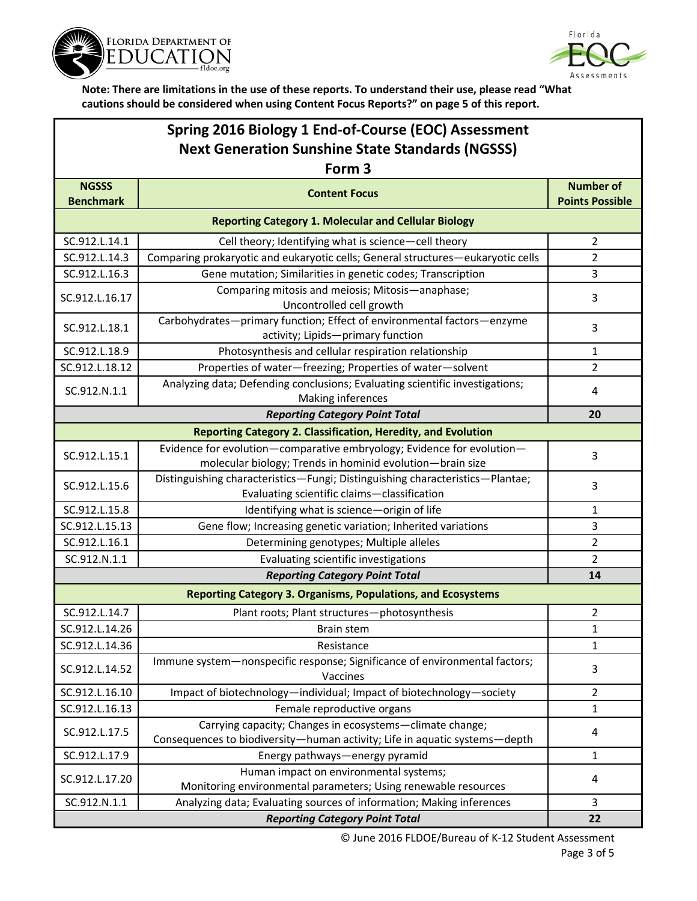



## **Spring 2016 Biology 1 End-of-Course (EOC) Assessment Next Generation Sunshine State Standards (NGSSS)**

| Form 3                                                      |                                                                                                                                        |                                            |  |  |
|-------------------------------------------------------------|----------------------------------------------------------------------------------------------------------------------------------------|--------------------------------------------|--|--|
| <b>NGSSS</b><br><b>Benchmark</b>                            | <b>Content Focus</b>                                                                                                                   | <b>Number of</b><br><b>Points Possible</b> |  |  |
| <b>Reporting Category 1. Molecular and Cellular Biology</b> |                                                                                                                                        |                                            |  |  |
| SC.912.L.14.1                                               | Cell theory; Identifying what is science-cell theory                                                                                   | $\overline{2}$                             |  |  |
| SC.912.L.14.3                                               | Comparing prokaryotic and eukaryotic cells; General structures-eukaryotic cells                                                        | $\overline{2}$                             |  |  |
| SC.912.L.16.3                                               | Gene mutation; Similarities in genetic codes; Transcription                                                                            | 3                                          |  |  |
| SC.912.L.16.17                                              | Comparing mitosis and meiosis; Mitosis-anaphase;<br>Uncontrolled cell growth                                                           | 3                                          |  |  |
| SC.912.L.18.1                                               | Carbohydrates-primary function; Effect of environmental factors-enzyme<br>activity; Lipids-primary function                            | 3                                          |  |  |
| SC.912.L.18.9                                               | Photosynthesis and cellular respiration relationship                                                                                   | 1                                          |  |  |
| SC.912.L.18.12                                              | Properties of water-freezing; Properties of water-solvent                                                                              | $\overline{2}$                             |  |  |
| SC.912.N.1.1                                                | Analyzing data; Defending conclusions; Evaluating scientific investigations;<br>Making inferences                                      | 4                                          |  |  |
|                                                             | <b>Reporting Category Point Total</b>                                                                                                  | 20                                         |  |  |
|                                                             | <b>Reporting Category 2. Classification, Heredity, and Evolution</b>                                                                   |                                            |  |  |
| SC.912.L.15.1                                               | Evidence for evolution-comparative embryology; Evidence for evolution-<br>molecular biology; Trends in hominid evolution-brain size    | 3                                          |  |  |
| SC.912.L.15.6                                               | Distinguishing characteristics-Fungi; Distinguishing characteristics-Plantae;<br>Evaluating scientific claims-classification           | 3                                          |  |  |
| SC.912.L.15.8                                               | Identifying what is science-origin of life                                                                                             | 1                                          |  |  |
| SC.912.L.15.13                                              | Gene flow; Increasing genetic variation; Inherited variations                                                                          | 3                                          |  |  |
| SC.912.L.16.1                                               | Determining genotypes; Multiple alleles                                                                                                | $\overline{2}$                             |  |  |
| SC.912.N.1.1                                                | Evaluating scientific investigations                                                                                                   | $\overline{2}$                             |  |  |
| <b>Reporting Category Point Total</b><br>14                 |                                                                                                                                        |                                            |  |  |
|                                                             | <b>Reporting Category 3. Organisms, Populations, and Ecosystems</b>                                                                    |                                            |  |  |
| SC.912.L.14.7                                               | Plant roots; Plant structures-photosynthesis                                                                                           | $\overline{2}$                             |  |  |
| SC.912.L.14.26                                              | Brain stem                                                                                                                             | 1                                          |  |  |
| SC.912.L.14.36                                              | Resistance                                                                                                                             | 1                                          |  |  |
| SC.912.L.14.52                                              | Immune system-nonspecific response; Significance of environmental factors;<br>Vaccines                                                 | 3                                          |  |  |
| SC.912.L.16.10                                              | Impact of biotechnology-individual; Impact of biotechnology-society                                                                    | $\overline{2}$                             |  |  |
| SC.912.L.16.13                                              | Female reproductive organs                                                                                                             | $\mathbf 1$                                |  |  |
| SC.912.L.17.5                                               | Carrying capacity; Changes in ecosystems-climate change;<br>Consequences to biodiversity-human activity; Life in aquatic systems-depth | 4                                          |  |  |
| SC.912.L.17.9                                               | Energy pathways-energy pyramid                                                                                                         | 1                                          |  |  |
| SC.912.L.17.20                                              | Human impact on environmental systems;<br>Monitoring environmental parameters; Using renewable resources                               | 4                                          |  |  |
| SC.912.N.1.1                                                | Analyzing data; Evaluating sources of information; Making inferences                                                                   | 3                                          |  |  |
| <b>Reporting Category Point Total</b>                       |                                                                                                                                        |                                            |  |  |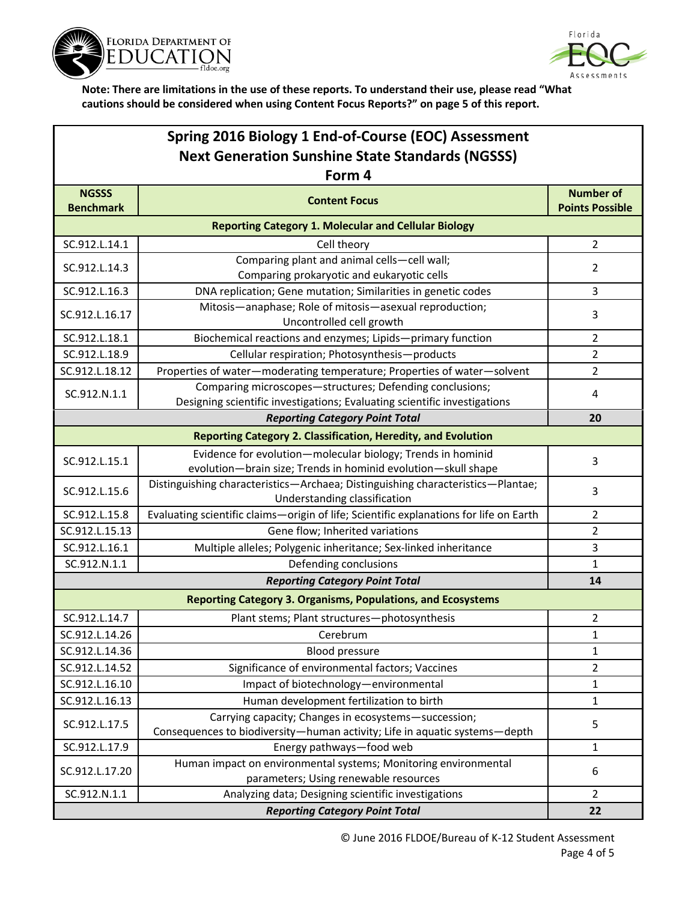



| Spring 2016 Biology 1 End-of-Course (EOC) Assessment        |                                                                                                                                       |                                            |  |  |  |
|-------------------------------------------------------------|---------------------------------------------------------------------------------------------------------------------------------------|--------------------------------------------|--|--|--|
| <b>Next Generation Sunshine State Standards (NGSSS)</b>     |                                                                                                                                       |                                            |  |  |  |
| Form 4                                                      |                                                                                                                                       |                                            |  |  |  |
| <b>NGSSS</b><br><b>Benchmark</b>                            | <b>Content Focus</b>                                                                                                                  | <b>Number of</b><br><b>Points Possible</b> |  |  |  |
| <b>Reporting Category 1. Molecular and Cellular Biology</b> |                                                                                                                                       |                                            |  |  |  |
| SC.912.L.14.1                                               | Cell theory                                                                                                                           | $\overline{2}$                             |  |  |  |
| SC.912.L.14.3                                               | Comparing plant and animal cells-cell wall;<br>Comparing prokaryotic and eukaryotic cells                                             | $\overline{2}$                             |  |  |  |
| SC.912.L.16.3                                               | DNA replication; Gene mutation; Similarities in genetic codes                                                                         | 3                                          |  |  |  |
| SC.912.L.16.17                                              | Mitosis-anaphase; Role of mitosis-asexual reproduction;<br>Uncontrolled cell growth                                                   | 3                                          |  |  |  |
| SC.912.L.18.1                                               | Biochemical reactions and enzymes; Lipids-primary function                                                                            | $\overline{2}$                             |  |  |  |
| SC.912.L.18.9                                               | Cellular respiration; Photosynthesis-products                                                                                         | $\overline{2}$                             |  |  |  |
| SC.912.L.18.12                                              | Properties of water-moderating temperature; Properties of water-solvent                                                               | $\overline{2}$                             |  |  |  |
| SC.912.N.1.1                                                | Comparing microscopes-structures; Defending conclusions;<br>Designing scientific investigations; Evaluating scientific investigations | 4                                          |  |  |  |
|                                                             | <b>Reporting Category Point Total</b>                                                                                                 | 20                                         |  |  |  |
|                                                             | <b>Reporting Category 2. Classification, Heredity, and Evolution</b>                                                                  |                                            |  |  |  |
| SC.912.L.15.1                                               | Evidence for evolution-molecular biology; Trends in hominid<br>evolution-brain size; Trends in hominid evolution-skull shape          | 3                                          |  |  |  |
| SC.912.L.15.6                                               | Distinguishing characteristics-Archaea; Distinguishing characteristics-Plantae;<br>Understanding classification                       | 3                                          |  |  |  |
| SC.912.L.15.8                                               | Evaluating scientific claims-origin of life; Scientific explanations for life on Earth                                                | 2                                          |  |  |  |
| SC.912.L.15.13                                              | Gene flow; Inherited variations                                                                                                       | $\overline{2}$                             |  |  |  |
| SC.912.L.16.1                                               | Multiple alleles; Polygenic inheritance; Sex-linked inheritance                                                                       | 3                                          |  |  |  |
| SC.912.N.1.1                                                | Defending conclusions                                                                                                                 | $\mathbf{1}$                               |  |  |  |
|                                                             | <b>Reporting Category Point Total</b>                                                                                                 | 14                                         |  |  |  |
|                                                             | <b>Reporting Category 3. Organisms, Populations, and Ecosystems</b>                                                                   |                                            |  |  |  |
| SC.912.L.14.7                                               | Plant stems; Plant structures-photosynthesis                                                                                          | 2                                          |  |  |  |
| SC.912.L.14.26                                              | Cerebrum                                                                                                                              | 1                                          |  |  |  |
| SC.912.L.14.36                                              | Blood pressure                                                                                                                        | 1                                          |  |  |  |
| SC.912.L.14.52                                              | Significance of environmental factors; Vaccines                                                                                       | $\overline{2}$                             |  |  |  |
| SC.912.L.16.10                                              | Impact of biotechnology-environmental                                                                                                 | 1                                          |  |  |  |
| SC.912.L.16.13                                              | Human development fertilization to birth                                                                                              | 1                                          |  |  |  |
| SC.912.L.17.5                                               | Carrying capacity; Changes in ecosystems-succession;<br>Consequences to biodiversity-human activity; Life in aquatic systems-depth    | 5                                          |  |  |  |
| SC.912.L.17.9                                               | Energy pathways-food web                                                                                                              | 1                                          |  |  |  |
| SC.912.L.17.20                                              | Human impact on environmental systems; Monitoring environmental<br>parameters; Using renewable resources                              | 6                                          |  |  |  |
| SC.912.N.1.1                                                | Analyzing data; Designing scientific investigations                                                                                   | $\overline{2}$                             |  |  |  |
| <b>Reporting Category Point Total</b>                       |                                                                                                                                       |                                            |  |  |  |